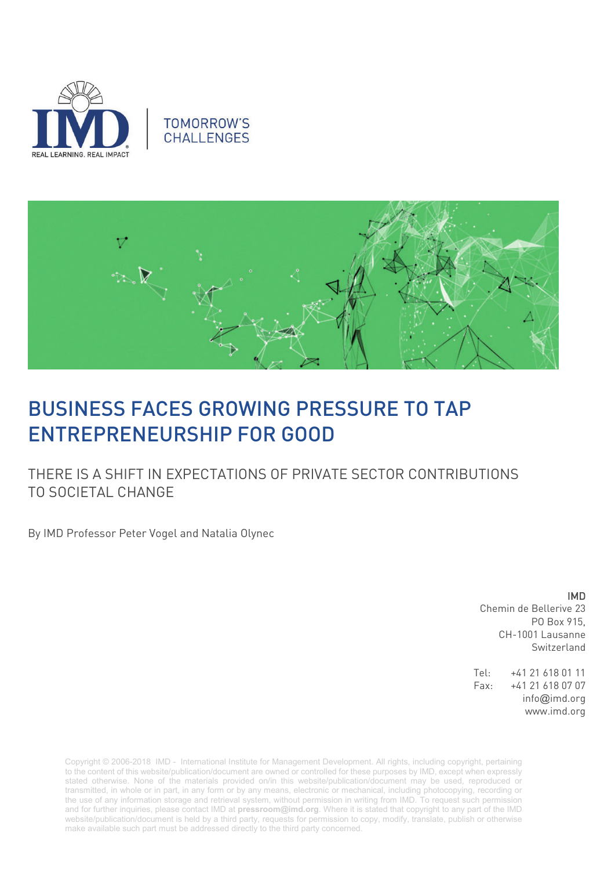





# BUSINESS FACES GROWING PRESSURE TO TAP ENTREPRENEURSHIP FOR GOOD

THERE IS A SHIFT IN EXPECTATIONS OF PRIVATE SECTOR CONTRIBUTIONS TO SOCIETAL CHANGE

By IMD Professor Peter Vogel and Natalia Olynec

IMD

Chemin de Bellerive 23 PO Box 915, CH-1001 Lausanne Switzerland

Tel: +41 21 618 01 11 Fax: +41 21 618 07 07 info@imd.org www.imd.org

Copyright © 2006-2018 IMD - International Institute for Management Development. All rights, including copyright, pertaining to the content of this website/publication/document are owned or controlled for these purposes by IMD, except when expressly stated otherwise. None of the materials provided on/in this website/publication/document may be used, reproduced or transmitted, in whole or in part, in any form or by any means, electronic or mechanical, including photocopying, recording or the use of any information storage and retrieval system, without permission in writing from IMD. To request such permission and for further inquiries, please contact IMD at **[pressroom@imd.org](mailto:pressroom@imd.org)**. Where it is stated that copyright to any part of the IMD website/publication/document is held by a third party, requests for permission to copy, modify, translate, publish or otherwise make available such part must be addressed directly to the third party concerned.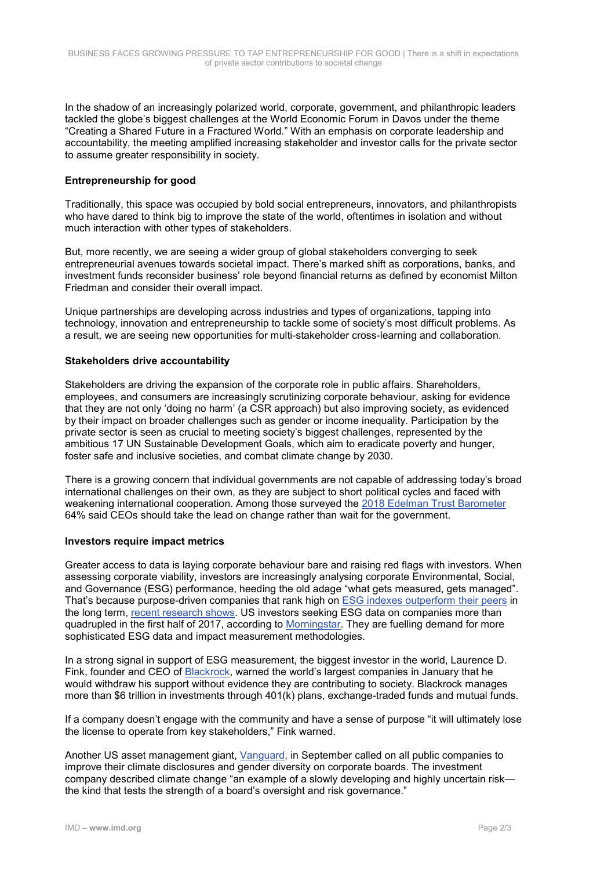In the shadow of an increasingly polarized world, corporate, government, and philanthropic leaders tackled the globe's biggest challenges at the World Economic Forum in Davos under the theme "Creating a Shared Future in a Fractured World." With an emphasis on corporate leadership and accountability, the meeting amplified increasing stakeholder and investor calls for the private sector to assume greater responsibility in society.

## **Entrepreneurship for good**

Traditionally, this space was occupied by bold social entrepreneurs, innovators, and philanthropists who have dared to think big to improve the state of the world, oftentimes in isolation and without much interaction with other types of stakeholders.

But, more recently, we are seeing a wider group of global stakeholders converging to seek entrepreneurial avenues towards societal impact. There's marked shift as corporations, banks, and investment funds reconsider business' role beyond financial returns as defined by economist Milton Friedman and consider their overall impact.

Unique partnerships are developing across industries and types of organizations, tapping into technology, innovation and entrepreneurship to tackle some of society's most difficult problems. As a result, we are seeing new opportunities for multi-stakeholder cross-learning and collaboration.

### **Stakeholders drive accountability**

Stakeholders are driving the expansion of the corporate role in public affairs. Shareholders, employees, and consumers are increasingly scrutinizing corporate behaviour, asking for evidence that they are not only 'doing no harm' (a CSR approach) but also improving society, as evidenced by their impact on broader challenges such as gender or income inequality. Participation by the private sector is seen as crucial to meeting society's biggest challenges, represented by the ambitious 17 UN Sustainable Development Goals, which aim to eradicate poverty and hunger, foster safe and inclusive societies, and combat climate change by 2030.

There is a growing concern that individual governments are not capable of addressing today's broad international challenges on their own, as they are subject to short political cycles and faced with weakening international cooperation. Among those surveyed the 2018 Edelman Trust Barometer 64% said CEOs should take the lead on change rather than wait for the government.

## **Investors require impact metrics**

Greater access to data is laying corporate behaviour bare and raising red flags with investors. When assessing corporate viability, investors are increasingly analysing corporate Environmental, Social, and Governance (ESG) performance, heeding the old adage "what gets measured, gets managed". That's because purpose-driven companies that rank high on [ESG indexes outperform their peers](https://www.theguardian.com/sustainable-business/2014/sep/23/business-companies-profit-cdp-report-climate-change-sustainability) in the long term, [recent research shows.](http://www.hbs.edu/faculty/Publication%20Files/SSRN-id1964011_6791edac-7daa-4603-a220-4a0c6c7a3f7a.pdf) US investors seeking ESG data on companies more than quadrupled in the first half of 2017, according to [Morningstar.](https://www.marketwatch.com/story/will-2018-be-the-year-investors-focus-on-climate-related-risk-2018-01-02) They are fuelling demand for more sophisticated ESG data and impact measurement methodologies.

In a strong signal in support of ESG measurement, the biggest investor in the world, Laurence D. Fink, founder and CEO of [Blackrock,](https://www.nytimes.com/2018/01/15/business/dealbook/blackrock-laurence-fink-letter.html?smid=li-share) warned the world's largest companies in January that he would withdraw his support without evidence they are contributing to society. Blackrock manages more than \$6 trillion in investments through 401(k) plans, exchange-traded funds and mutual funds.

If a company doesn't engage with the community and have a sense of purpose "it will ultimately lose the license to operate from key stakeholders," Fink warned.

Another US asset management giant, [Vanguard,](https://www.marketwatch.com/story/vanguard-calls-for-more-diverse-corporate-boards-better-climate-change-disclosures-2017-08-31) in September called on all public companies to improve their climate disclosures and gender diversity on corporate boards. The investment company described climate change "an example of a slowly developing and highly uncertain risk the kind that tests the strength of a board's oversight and risk governance."